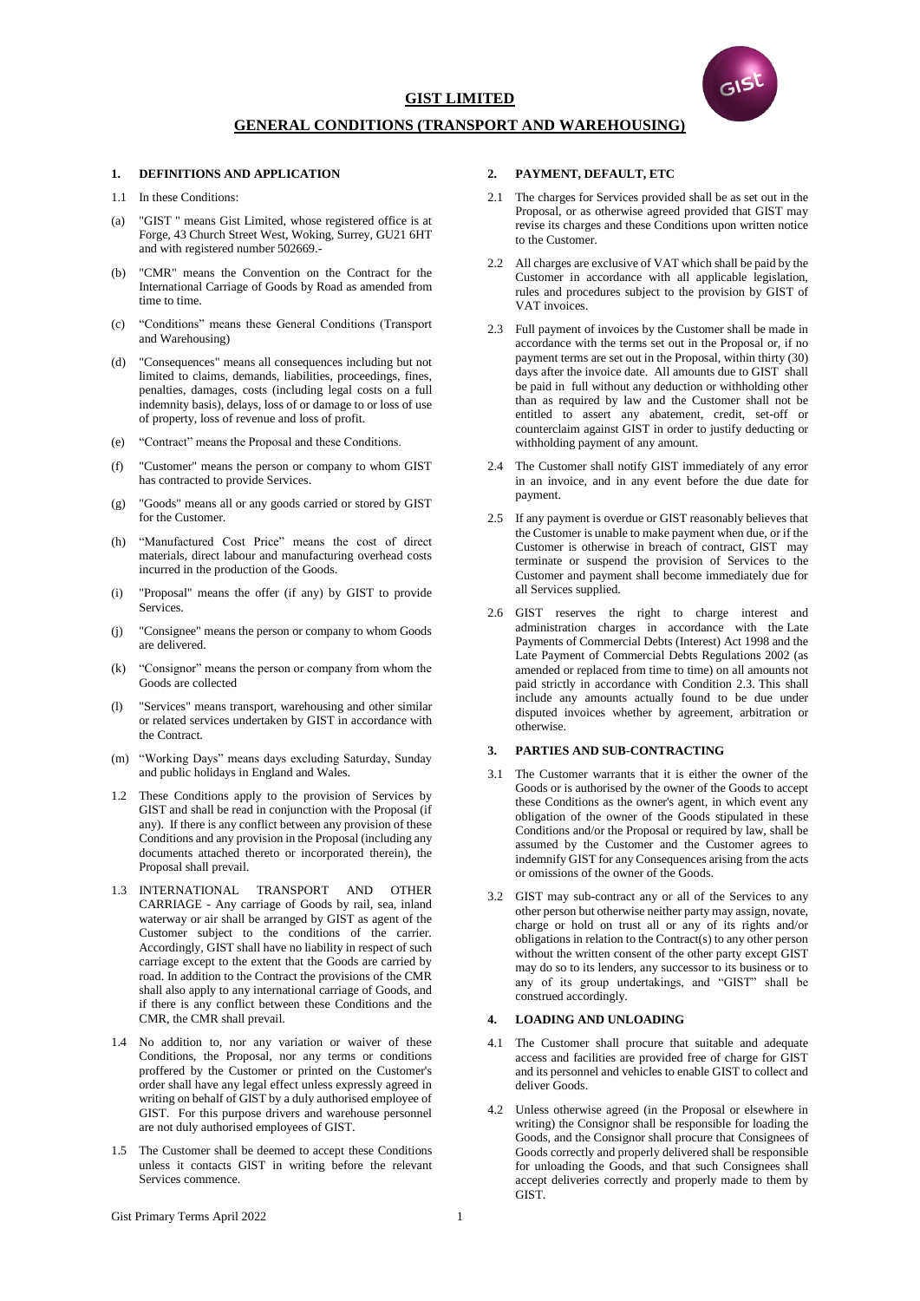

# **GIST LIMITED**

# **GENERAL CONDITIONS (TRANSPORT AND WAREHOUSING)**

# **1. DEFINITIONS AND APPLICATION**

- 1.1 In these Conditions:
- (a) "GIST " means Gist Limited, whose registered office is at Forge, 43 Church Street West, Woking, Surrey, GU21 6HT and with registered number 502669.-
- "CMR" means the Convention on the Contract for the International Carriage of Goods by Road as amended from time to time.
- (c) "Conditions" means these General Conditions (Transport and Warehousing)
- (d) "Consequences" means all consequences including but not limited to claims, demands, liabilities, proceedings, fines, penalties, damages, costs (including legal costs on a full indemnity basis), delays, loss of or damage to or loss of use of property, loss of revenue and loss of profit.
- (e) "Contract" means the Proposal and these Conditions.
- (f) "Customer" means the person or company to whom GIST has contracted to provide Services.
- (g) "Goods" means all or any goods carried or stored by GIST for the Customer.
- (h) "Manufactured Cost Price" means the cost of direct materials, direct labour and manufacturing overhead costs incurred in the production of the Goods.
- (i) "Proposal" means the offer (if any) by GIST to provide **Services**
- (j) "Consignee" means the person or company to whom Goods are delivered.
- (k) "Consignor" means the person or company from whom the Goods are collected
- (l) "Services" means transport, warehousing and other similar or related services undertaken by GIST in accordance with the Contract.
- (m) "Working Days" means days excluding Saturday, Sunday and public holidays in England and Wales.
- 1.2 These Conditions apply to the provision of Services by GIST and shall be read in conjunction with the Proposal (if any). If there is any conflict between any provision of these Conditions and any provision in the Proposal (including any documents attached thereto or incorporated therein), the Proposal shall prevail.
- 1.3 INTERNATIONAL TRANSPORT AND OTHER CARRIAGE - Any carriage of Goods by rail, sea, inland waterway or air shall be arranged by GIST as agent of the Customer subject to the conditions of the carrier. Accordingly, GIST shall have no liability in respect of such carriage except to the extent that the Goods are carried by road. In addition to the Contract the provisions of the CMR shall also apply to any international carriage of Goods, and if there is any conflict between these Conditions and the CMR, the CMR shall prevail.
- 1.4 No addition to, nor any variation or waiver of these Conditions, the Proposal, nor any terms or conditions proffered by the Customer or printed on the Customer's order shall have any legal effect unless expressly agreed in writing on behalf of GIST by a duly authorised employee of GIST. For this purpose drivers and warehouse personnel are not duly authorised employees of GIST.
- 1.5 The Customer shall be deemed to accept these Conditions unless it contacts GIST in writing before the relevant Services commence.

### **2. PAYMENT, DEFAULT, ETC**

- 2.1 The charges for Services provided shall be as set out in the Proposal, or as otherwise agreed provided that GIST may revise its charges and these Conditions upon written notice to the Customer.
- 2.2 All charges are exclusive of VAT which shall be paid by the Customer in accordance with all applicable legislation, rules and procedures subject to the provision by GIST of VAT invoices.
- 2.3 Full payment of invoices by the Customer shall be made in accordance with the terms set out in the Proposal or, if no payment terms are set out in the Proposal, within thirty (30) days after the invoice date. All amounts due to GIST shall be paid in full without any deduction or withholding other than as required by law and the Customer shall not be entitled to assert any abatement, credit, set-off or counterclaim against GIST in order to justify deducting or withholding payment of any amount.
- 2.4 The Customer shall notify GIST immediately of any error in an invoice, and in any event before the due date for payment.
- 2.5 If any payment is overdue or GIST reasonably believes that the Customer is unable to make payment when due, or if the Customer is otherwise in breach of contract, GIST may terminate or suspend the provision of Services to the Customer and payment shall become immediately due for all Services supplied.
- 2.6 GIST reserves the right to charge interest and administration charges in accordance with the Late Payments of Commercial Debts (Interest) Act 1998 and the Late Payment of Commercial Debts Regulations 2002 (as amended or replaced from time to time) on all amounts not paid strictly in accordance with Condition 2.3. This shall include any amounts actually found to be due under disputed invoices whether by agreement, arbitration or otherwise.

### **3. PARTIES AND SUB-CONTRACTING**

- 3.1 The Customer warrants that it is either the owner of the Goods or is authorised by the owner of the Goods to accept these Conditions as the owner's agent, in which event any obligation of the owner of the Goods stipulated in these Conditions and/or the Proposal or required by law, shall be assumed by the Customer and the Customer agrees to indemnify GIST for any Consequences arising from the acts or omissions of the owner of the Goods.
- 3.2 GIST may sub-contract any or all of the Services to any other person but otherwise neither party may assign, novate, charge or hold on trust all or any of its rights and/or obligations in relation to the Contract(s) to any other person without the written consent of the other party except GIST may do so to its lenders, any successor to its business or to any of its group undertakings, and "GIST" shall be construed accordingly.

### **4. LOADING AND UNLOADING**

- 4.1 The Customer shall procure that suitable and adequate access and facilities are provided free of charge for GIST and its personnel and vehicles to enable GIST to collect and deliver Goods.
- 4.2 Unless otherwise agreed (in the Proposal or elsewhere in writing) the Consignor shall be responsible for loading the Goods, and the Consignor shall procure that Consignees of Goods correctly and properly delivered shall be responsible for unloading the Goods, and that such Consignees shall accept deliveries correctly and properly made to them by **GIST.**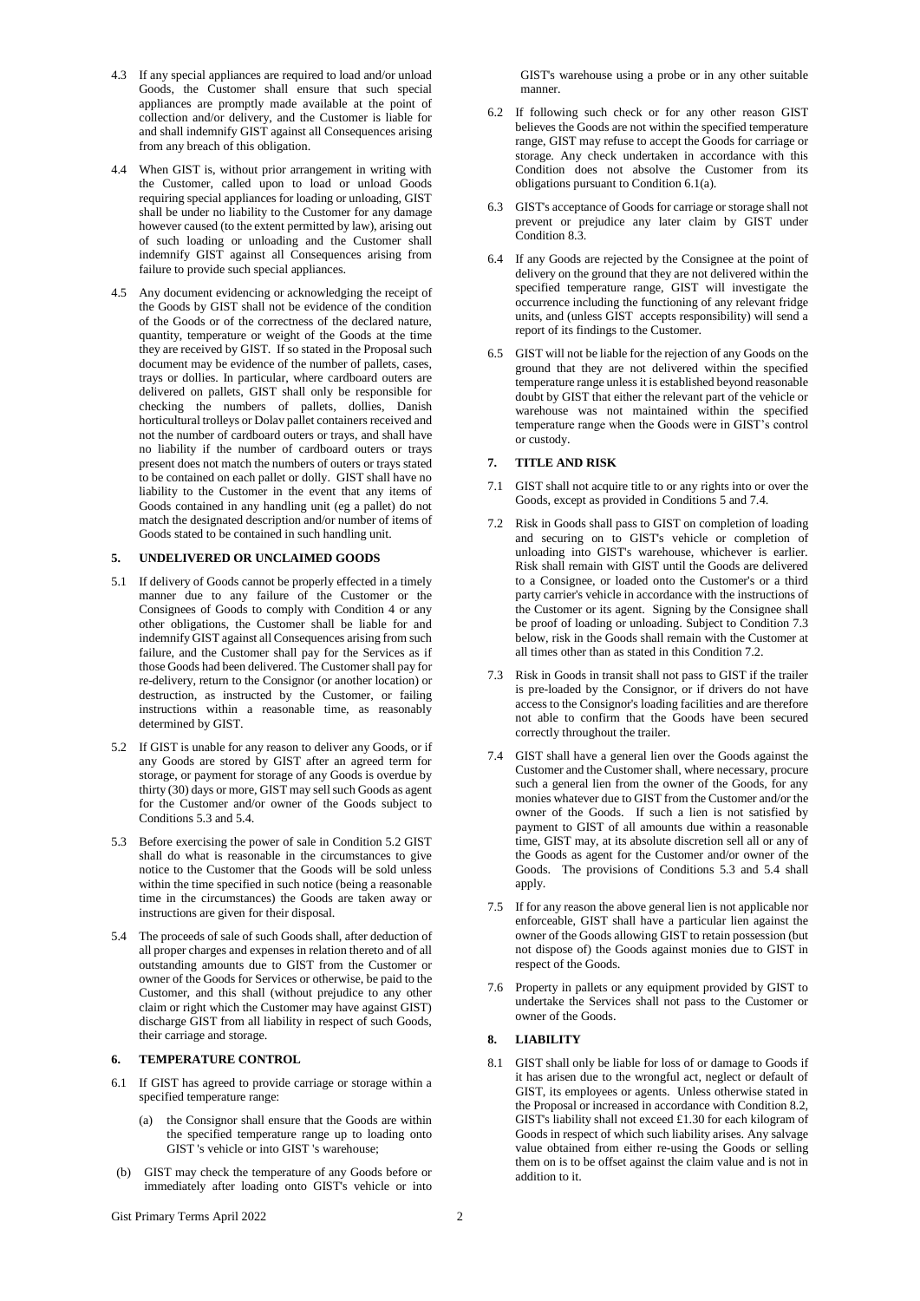- 4.3 If any special appliances are required to load and/or unload Goods, the Customer shall ensure that such special appliances are promptly made available at the point of collection and/or delivery, and the Customer is liable for and shall indemnify GIST against all Consequences arising from any breach of this obligation.
- 4.4 When GIST is, without prior arrangement in writing with the Customer, called upon to load or unload Goods requiring special appliances for loading or unloading, GIST shall be under no liability to the Customer for any damage however caused (to the extent permitted by law), arising out of such loading or unloading and the Customer shall indemnify GIST against all Consequences arising from failure to provide such special appliances.
- 4.5 Any document evidencing or acknowledging the receipt of the Goods by GIST shall not be evidence of the condition of the Goods or of the correctness of the declared nature, quantity, temperature or weight of the Goods at the time they are received by GIST. If so stated in the Proposal such document may be evidence of the number of pallets, cases, trays or dollies. In particular, where cardboard outers are delivered on pallets, GIST shall only be responsible for checking the numbers of pallets, dollies, Danish horticultural trolleys or Dolav pallet containers received and not the number of cardboard outers or trays, and shall have no liability if the number of cardboard outers or trays present does not match the numbers of outers or trays stated to be contained on each pallet or dolly. GIST shall have no liability to the Customer in the event that any items of Goods contained in any handling unit (eg a pallet) do not match the designated description and/or number of items of Goods stated to be contained in such handling unit.

#### **5. UNDELIVERED OR UNCLAIMED GOODS**

- 5.1 If delivery of Goods cannot be properly effected in a timely manner due to any failure of the Customer or the Consignees of Goods to comply with Condition 4 or any other obligations, the Customer shall be liable for and indemnify GIST against all Consequences arising from such failure, and the Customer shall pay for the Services as if those Goods had been delivered. The Customer shall pay for re-delivery, return to the Consignor (or another location) or destruction, as instructed by the Customer, or failing instructions within a reasonable time, as reasonably determined by GIST.
- 5.2 If GIST is unable for any reason to deliver any Goods, or if any Goods are stored by GIST after an agreed term for storage, or payment for storage of any Goods is overdue by thirty (30) days or more, GIST may sell such Goods as agent for the Customer and/or owner of the Goods subject to Conditions 5.3 and 5.4.
- 5.3 Before exercising the power of sale in Condition 5.2 GIST shall do what is reasonable in the circumstances to give notice to the Customer that the Goods will be sold unless within the time specified in such notice (being a reasonable time in the circumstances) the Goods are taken away or instructions are given for their disposal.
- 5.4 The proceeds of sale of such Goods shall, after deduction of all proper charges and expenses in relation thereto and of all outstanding amounts due to GIST from the Customer or owner of the Goods for Services or otherwise, be paid to the Customer, and this shall (without prejudice to any other claim or right which the Customer may have against GIST) discharge GIST from all liability in respect of such Goods, their carriage and storage.

# **6. TEMPERATURE CONTROL**

- 6.1 If GIST has agreed to provide carriage or storage within a specified temperature range:
	- (a) the Consignor shall ensure that the Goods are within the specified temperature range up to loading onto GIST 's vehicle or into GIST 's warehouse;
- (b) GIST may check the temperature of any Goods before or immediately after loading onto GIST's vehicle or into

GIST's warehouse using a probe or in any other suitable manner.

- 6.2 If following such check or for any other reason GIST believes the Goods are not within the specified temperature range, GIST may refuse to accept the Goods for carriage or storage. Any check undertaken in accordance with this Condition does not absolve the Customer from its obligations pursuant to Condition 6.1(a).
- 6.3 GIST's acceptance of Goods for carriage or storage shall not prevent or prejudice any later claim by GIST under Condition 8.3.
- 6.4 If any Goods are rejected by the Consignee at the point of delivery on the ground that they are not delivered within the specified temperature range, GIST will investigate the occurrence including the functioning of any relevant fridge units, and (unless GIST accepts responsibility) will send a report of its findings to the Customer.
- 6.5 GIST will not be liable for the rejection of any Goods on the ground that they are not delivered within the specified temperature range unless it is established beyond reasonable doubt by GIST that either the relevant part of the vehicle or warehouse was not maintained within the specified temperature range when the Goods were in GIST's control or custody.

### **7. TITLE AND RISK**

- 7.1 GIST shall not acquire title to or any rights into or over the Goods, except as provided in Conditions 5 and 7.4.
- 7.2 Risk in Goods shall pass to GIST on completion of loading and securing on to GIST's vehicle or completion of unloading into GIST's warehouse, whichever is earlier. Risk shall remain with GIST until the Goods are delivered to a Consignee, or loaded onto the Customer's or a third party carrier's vehicle in accordance with the instructions of the Customer or its agent. Signing by the Consignee shall be proof of loading or unloading. Subject to Condition 7.3 below, risk in the Goods shall remain with the Customer at all times other than as stated in this Condition 7.2.
- 7.3 Risk in Goods in transit shall not pass to GIST if the trailer is pre-loaded by the Consignor, or if drivers do not have access to the Consignor's loading facilities and are therefore not able to confirm that the Goods have been secured correctly throughout the trailer.
- 7.4 GIST shall have a general lien over the Goods against the Customer and the Customer shall, where necessary, procure such a general lien from the owner of the Goods, for any monies whatever due to GIST from the Customer and/or the owner of the Goods. If such a lien is not satisfied by payment to GIST of all amounts due within a reasonable time, GIST may, at its absolute discretion sell all or any of the Goods as agent for the Customer and/or owner of the Goods. The provisions of Conditions 5.3 and 5.4 shall apply.
- 7.5 If for any reason the above general lien is not applicable nor enforceable, GIST shall have a particular lien against the owner of the Goods allowing GIST to retain possession (but not dispose of) the Goods against monies due to GIST in respect of the Goods.
- 7.6 Property in pallets or any equipment provided by GIST to undertake the Services shall not pass to the Customer or owner of the Goods.

#### **8. LIABILITY**

8.1 GIST shall only be liable for loss of or damage to Goods if it has arisen due to the wrongful act, neglect or default of GIST, its employees or agents. Unless otherwise stated in the Proposal or increased in accordance with Condition 8.2, GIST's liability shall not exceed £1.30 for each kilogram of Goods in respect of which such liability arises. Any salvage value obtained from either re-using the Goods or selling them on is to be offset against the claim value and is not in addition to it.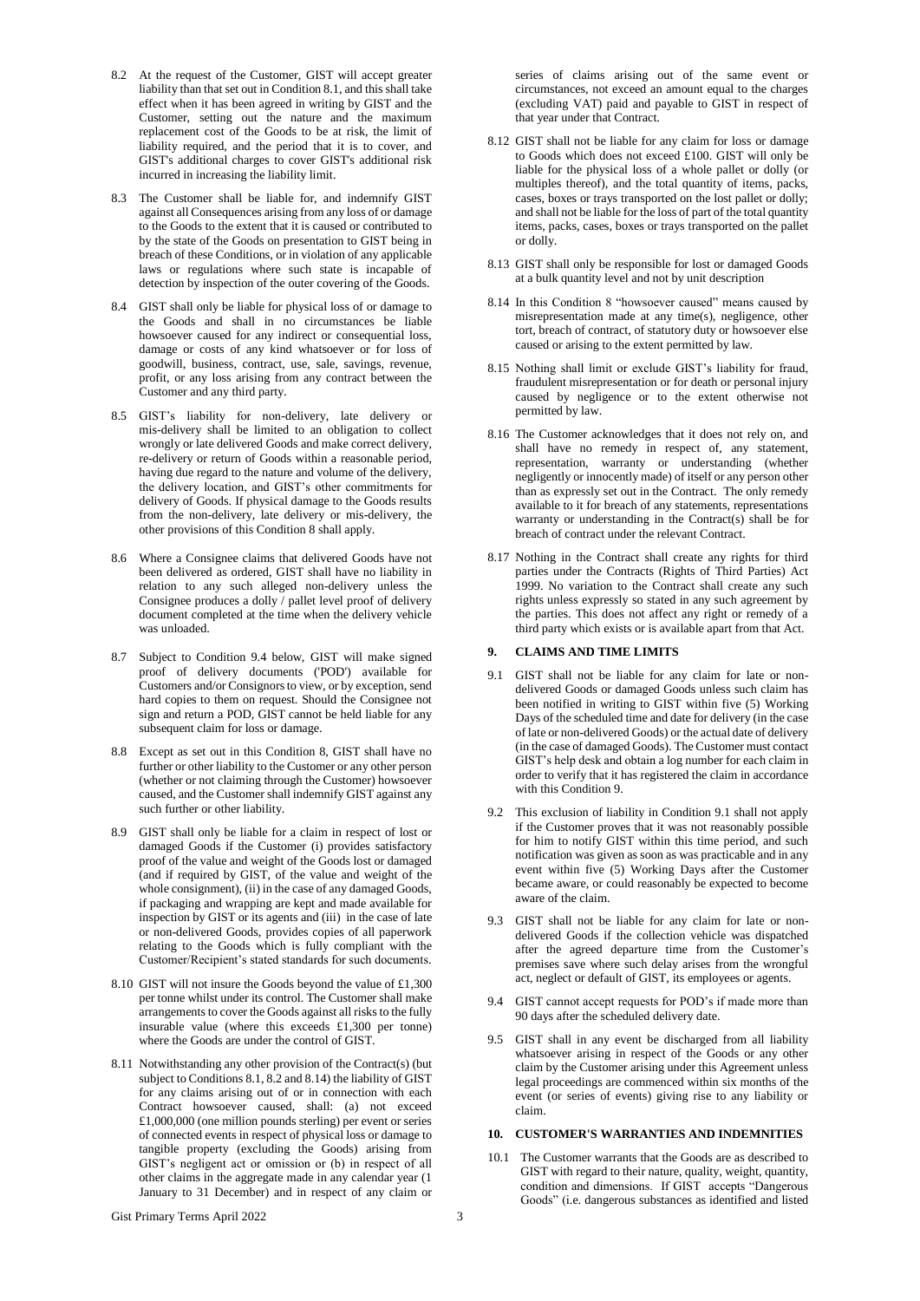- 8.2 At the request of the Customer, GIST will accept greater liability than that set out in Condition 8.1, and this shall take effect when it has been agreed in writing by GIST and the Customer, setting out the nature and the maximum replacement cost of the Goods to be at risk, the limit of liability required, and the period that it is to cover, and GIST's additional charges to cover GIST's additional risk incurred in increasing the liability limit.
- 8.3 The Customer shall be liable for, and indemnify GIST against all Consequences arising from any loss of or damage to the Goods to the extent that it is caused or contributed to by the state of the Goods on presentation to GIST being in breach of these Conditions, or in violation of any applicable laws or regulations where such state is incapable of detection by inspection of the outer covering of the Goods.
- 8.4 GIST shall only be liable for physical loss of or damage to the Goods and shall in no circumstances be liable howsoever caused for any indirect or consequential loss, damage or costs of any kind whatsoever or for loss of goodwill, business, contract, use, sale, savings, revenue, profit, or any loss arising from any contract between the Customer and any third party.
- 8.5 GIST's liability for non-delivery, late delivery or mis-delivery shall be limited to an obligation to collect wrongly or late delivered Goods and make correct delivery, re-delivery or return of Goods within a reasonable period, having due regard to the nature and volume of the delivery, the delivery location, and GIST's other commitments for delivery of Goods. If physical damage to the Goods results from the non-delivery, late delivery or mis-delivery, the other provisions of this Condition 8 shall apply.
- 8.6 Where a Consignee claims that delivered Goods have not been delivered as ordered, GIST shall have no liability in relation to any such alleged non-delivery unless the Consignee produces a dolly / pallet level proof of delivery document completed at the time when the delivery vehicle was unloaded.
- 8.7 Subject to Condition 9.4 below, GIST will make signed proof of delivery documents ('POD') available for Customers and/or Consignors to view, or by exception, send hard copies to them on request. Should the Consignee not sign and return a POD, GIST cannot be held liable for any subsequent claim for loss or damage.
- 8.8 Except as set out in this Condition 8, GIST shall have no further or other liability to the Customer or any other person (whether or not claiming through the Customer) howsoever caused, and the Customer shall indemnify GIST against any such further or other liability.
- 8.9 GIST shall only be liable for a claim in respect of lost or damaged Goods if the Customer (i) provides satisfactory proof of the value and weight of the Goods lost or damaged (and if required by GIST, of the value and weight of the whole consignment), (ii) in the case of any damaged Goods, if packaging and wrapping are kept and made available for inspection by GIST or its agents and (iii) in the case of late or non-delivered Goods, provides copies of all paperwork relating to the Goods which is fully compliant with the Customer/Recipient's stated standards for such documents.
- 8.10 GIST will not insure the Goods beyond the value of £1,300 per tonne whilst under its control. The Customer shall make arrangements to cover the Goods against all risks to the fully insurable value (where this exceeds £1,300 per tonne) where the Goods are under the control of GIST.
- 8.11 Notwithstanding any other provision of the Contract(s) (but subject to Conditions 8.1, 8.2 and 8.14) the liability of GIST for any claims arising out of or in connection with each Contract howsoever caused, shall: (a) not exceed £1,000,000 (one million pounds sterling) per event or series of connected events in respect of physical loss or damage to tangible property (excluding the Goods) arising from GIST's negligent act or omission or (b) in respect of all other claims in the aggregate made in any calendar year (1 January to 31 December) and in respect of any claim or

series of claims arising out of the same event or circumstances, not exceed an amount equal to the charges (excluding VAT) paid and payable to GIST in respect of that year under that Contract.

- 8.12 GIST shall not be liable for any claim for loss or damage to Goods which does not exceed £100. GIST will only be liable for the physical loss of a whole pallet or dolly (or multiples thereof), and the total quantity of items, packs, cases, boxes or trays transported on the lost pallet or dolly; and shall not be liable for the loss of part of the total quantity items, packs, cases, boxes or trays transported on the pallet or dolly.
- 8.13 GIST shall only be responsible for lost or damaged Goods at a bulk quantity level and not by unit description
- 8.14 In this Condition 8 "howsoever caused" means caused by misrepresentation made at any time(s), negligence, other tort, breach of contract, of statutory duty or howsoever else caused or arising to the extent permitted by law.
- 8.15 Nothing shall limit or exclude GIST's liability for fraud, fraudulent misrepresentation or for death or personal injury caused by negligence or to the extent otherwise not permitted by law.
- 8.16 The Customer acknowledges that it does not rely on, and shall have no remedy in respect of, any statement, representation, warranty or understanding (whether negligently or innocently made) of itself or any person other than as expressly set out in the Contract. The only remedy available to it for breach of any statements, representations warranty or understanding in the Contract(s) shall be for breach of contract under the relevant Contract.
- 8.17 Nothing in the Contract shall create any rights for third parties under the Contracts (Rights of Third Parties) Act 1999. No variation to the Contract shall create any such rights unless expressly so stated in any such agreement by the parties. This does not affect any right or remedy of a third party which exists or is available apart from that Act.

# **9. CLAIMS AND TIME LIMITS**

- 9.1 GIST shall not be liable for any claim for late or nondelivered Goods or damaged Goods unless such claim has been notified in writing to GIST within five (5) Working Days of the scheduled time and date for delivery (in the case of late or non-delivered Goods) or the actual date of delivery (in the case of damaged Goods). The Customer must contact GIST's help desk and obtain a log number for each claim in order to verify that it has registered the claim in accordance with this Condition 9.
- 9.2 This exclusion of liability in Condition 9.1 shall not apply if the Customer proves that it was not reasonably possible for him to notify GIST within this time period, and such notification was given as soon as was practicable and in any event within five (5) Working Days after the Customer became aware, or could reasonably be expected to become aware of the claim.
- 9.3 GIST shall not be liable for any claim for late or nondelivered Goods if the collection vehicle was dispatched after the agreed departure time from the Customer's premises save where such delay arises from the wrongful act, neglect or default of GIST, its employees or agents.
- 9.4 GIST cannot accept requests for POD's if made more than 90 days after the scheduled delivery date.
- 9.5 GIST shall in any event be discharged from all liability whatsoever arising in respect of the Goods or any other claim by the Customer arising under this Agreement unless legal proceedings are commenced within six months of the event (or series of events) giving rise to any liability or claim.

### **10. CUSTOMER'S WARRANTIES AND INDEMNITIES**

10.1 The Customer warrants that the Goods are as described to GIST with regard to their nature, quality, weight, quantity, condition and dimensions. If GIST accepts "Dangerous Goods" (i.e. dangerous substances as identified and listed

Gist Primary Terms April 2022 3